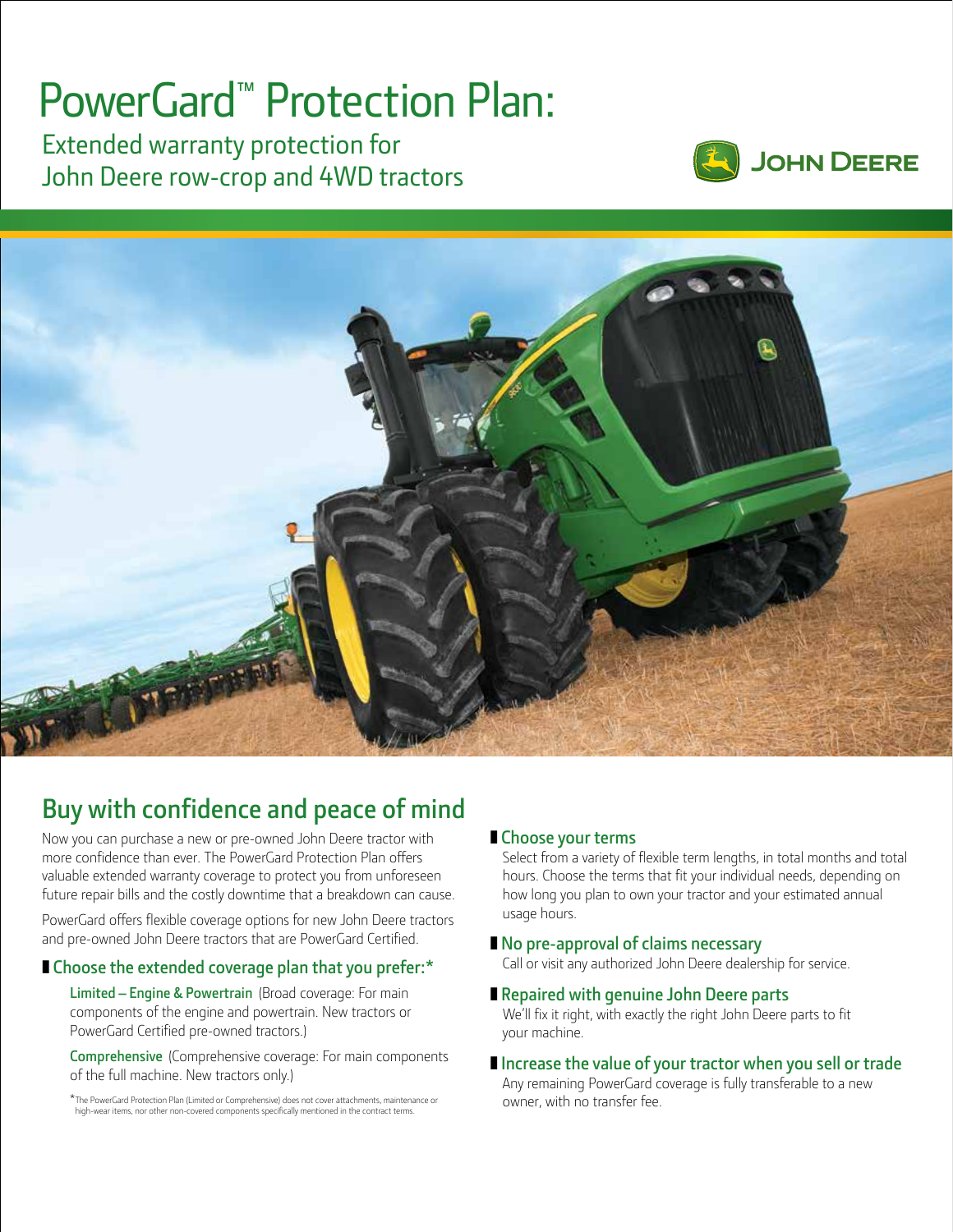## PowerGard™ Protection Plan:

Extended warranty protection for John Deere row-crop and 4WD tractors





### **Buy with confidence and peace of mind**

Now you can purchase a new or pre-owned John Deere tractor with more confidence than ever. The PowerGard Protection Plan offers valuable extended warranty coverage to protect you from unforeseen future repair bills and the costly downtime that a breakdown can cause.

PowerGard offers flexible coverage options for new John Deere tractors and pre-owned John Deere tractors that are PowerGard Certified.

### ■ Choose the extended coverage plan that you prefer:<sup>\*</sup>

**Limited – Engine & Powertrain** (Broad coverage: For main components of the engine and powertrain. New tractors or PowerGard Certified pre-owned tractors.)

**Comprehensive** (Comprehensive coverage: For main components of the full machine. New tractors only.)

\*The PowerGard Protection Plan (Limited or Comprehensive) does not cover attachments, maintenance or high-wear items, nor other non-covered components specifically mentioned in the contract terms.

### ❚ **Choose your terms**

Select from a variety of flexible term lengths, in total months and total hours. Choose the terms that fit your individual needs, depending on how long you plan to own your tractor and your estimated annual usage hours.

### ■ **No pre-approval of claims necessary**

Call or visit any authorized John Deere dealership for service.

### ■ **Repaired with genuine John Deere parts**

We'll fix it right, with exactly the right John Deere parts to fit your machine.

#### **Increase the value of your tractor when you sell or trade** Any remaining PowerGard coverage is fully transferable to a new owner, with no transfer fee.